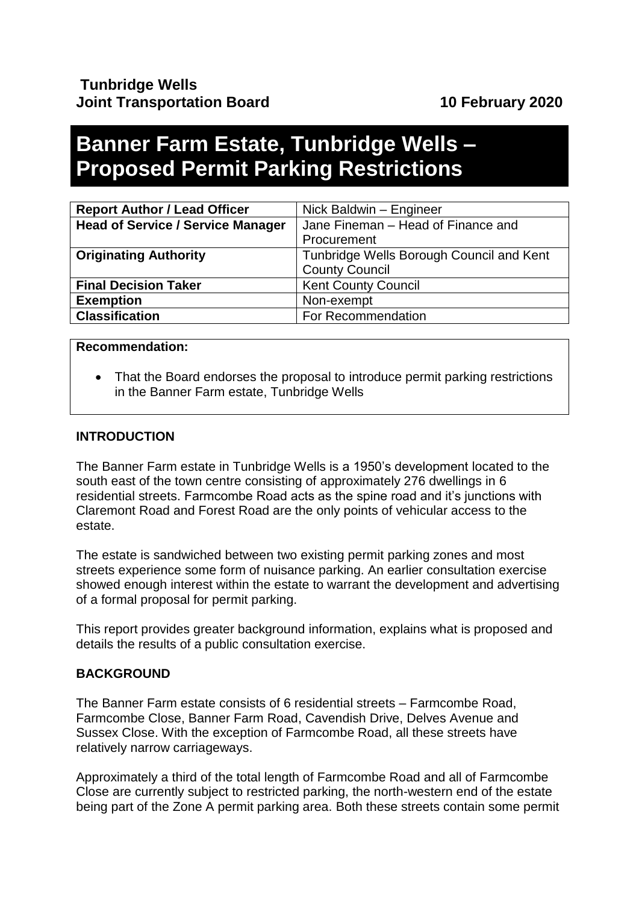# **Banner Farm Estate, Tunbridge Wells – Proposed Permit Parking Restrictions**

| <b>Report Author / Lead Officer</b>      | Nick Baldwin - Engineer                  |  |  |
|------------------------------------------|------------------------------------------|--|--|
| <b>Head of Service / Service Manager</b> | Jane Fineman - Head of Finance and       |  |  |
|                                          | Procurement                              |  |  |
| <b>Originating Authority</b>             | Tunbridge Wells Borough Council and Kent |  |  |
|                                          | <b>County Council</b>                    |  |  |
| <b>Final Decision Taker</b>              | <b>Kent County Council</b>               |  |  |
| <b>Exemption</b>                         | Non-exempt                               |  |  |
| <b>Classification</b>                    | For Recommendation                       |  |  |

#### **Recommendation:**

• That the Board endorses the proposal to introduce permit parking restrictions in the Banner Farm estate, Tunbridge Wells

## **INTRODUCTION**

The Banner Farm estate in Tunbridge Wells is a 1950's development located to the south east of the town centre consisting of approximately 276 dwellings in 6 residential streets. Farmcombe Road acts as the spine road and it's junctions with Claremont Road and Forest Road are the only points of vehicular access to the estate.

The estate is sandwiched between two existing permit parking zones and most streets experience some form of nuisance parking. An earlier consultation exercise showed enough interest within the estate to warrant the development and advertising of a formal proposal for permit parking.

This report provides greater background information, explains what is proposed and details the results of a public consultation exercise.

## **BACKGROUND**

The Banner Farm estate consists of 6 residential streets – Farmcombe Road, Farmcombe Close, Banner Farm Road, Cavendish Drive, Delves Avenue and Sussex Close. With the exception of Farmcombe Road, all these streets have relatively narrow carriageways.

Approximately a third of the total length of Farmcombe Road and all of Farmcombe Close are currently subject to restricted parking, the north-western end of the estate being part of the Zone A permit parking area. Both these streets contain some permit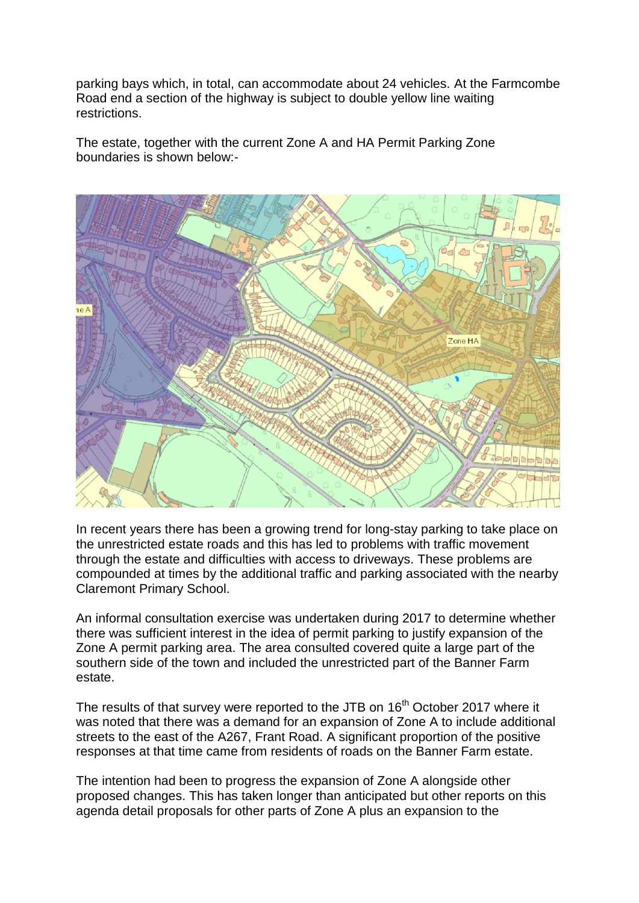parking bays which, in total, can accommodate about 24 vehicles. At the Farmcombe Road end a section of the highway is subject to double yellow line waiting restrictions.

The estate, together with the current Zone A and HA Permit Parking Zone boundaries is shown below:-



In recent years there has been a growing trend for long-stay parking to take place on the unrestricted estate roads and this has led to problems with traffic movement through the estate and difficulties with access to driveways. These problems are compounded at times by the additional traffic and parking associated with the nearby Claremont Primary School.

An informal consultation exercise was undertaken during 2017 to determine whether there was sufficient interest in the idea of permit parking to justify expansion of the Zone A permit parking area. The area consulted covered quite a large part of the southern side of the town and included the unrestricted part of the Banner Farm estate.

The results of that survey were reported to the JTB on 16<sup>th</sup> October 2017 where it was noted that there was a demand for an expansion of Zone A to include additional streets to the east of the A267, Frant Road. A significant proportion of the positive responses at that time came from residents of roads on the Banner Farm estate.

The intention had been to progress the expansion of Zone A alongside other proposed changes. This has taken longer than anticipated but other reports on this agenda detail proposals for other parts of Zone A plus an expansion to the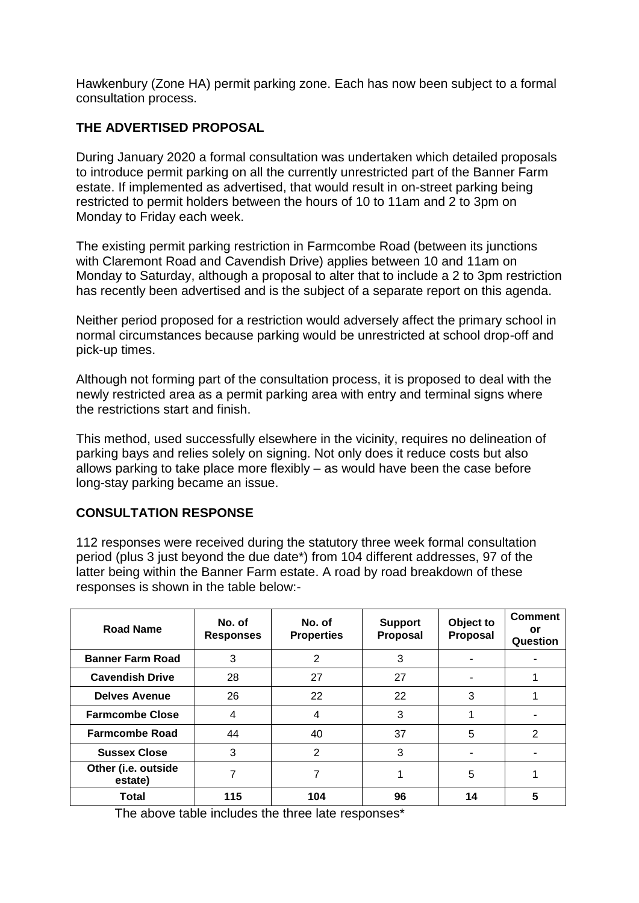Hawkenbury (Zone HA) permit parking zone. Each has now been subject to a formal consultation process.

## **THE ADVERTISED PROPOSAL**

During January 2020 a formal consultation was undertaken which detailed proposals to introduce permit parking on all the currently unrestricted part of the Banner Farm estate. If implemented as advertised, that would result in on-street parking being restricted to permit holders between the hours of 10 to 11am and 2 to 3pm on Monday to Friday each week.

The existing permit parking restriction in Farmcombe Road (between its junctions with Claremont Road and Cavendish Drive) applies between 10 and 11am on Monday to Saturday, although a proposal to alter that to include a 2 to 3pm restriction has recently been advertised and is the subject of a separate report on this agenda.

Neither period proposed for a restriction would adversely affect the primary school in normal circumstances because parking would be unrestricted at school drop-off and pick-up times.

Although not forming part of the consultation process, it is proposed to deal with the newly restricted area as a permit parking area with entry and terminal signs where the restrictions start and finish.

This method, used successfully elsewhere in the vicinity, requires no delineation of parking bays and relies solely on signing. Not only does it reduce costs but also allows parking to take place more flexibly – as would have been the case before long-stay parking became an issue.

## **CONSULTATION RESPONSE**

112 responses were received during the statutory three week formal consultation period (plus 3 just beyond the due date\*) from 104 different addresses, 97 of the latter being within the Banner Farm estate. A road by road breakdown of these responses is shown in the table below:-

| Road Name                      | No. of<br><b>Responses</b> | No. of<br><b>Properties</b> | <b>Support</b><br>Proposal | Object to<br>Proposal | <b>Comment</b><br>or<br>Question |
|--------------------------------|----------------------------|-----------------------------|----------------------------|-----------------------|----------------------------------|
| <b>Banner Farm Road</b>        | 3                          | 2                           | 3                          |                       |                                  |
| <b>Cavendish Drive</b>         | 28                         | 27                          | 27                         |                       |                                  |
| <b>Delves Avenue</b>           | 26                         | 22                          | 22                         | 3                     |                                  |
| <b>Farmcombe Close</b>         | $\overline{4}$             | 4                           | 3                          |                       |                                  |
| <b>Farmcombe Road</b>          | 44                         | 40                          | 37                         | 5                     | 2                                |
| <b>Sussex Close</b>            | 3                          | $\overline{2}$              | 3                          |                       |                                  |
| Other (i.e. outside<br>estate) |                            |                             |                            | 5                     |                                  |
| Total                          | 115                        | 104                         | 96                         | 14                    | 5                                |

The above table includes the three late responses\*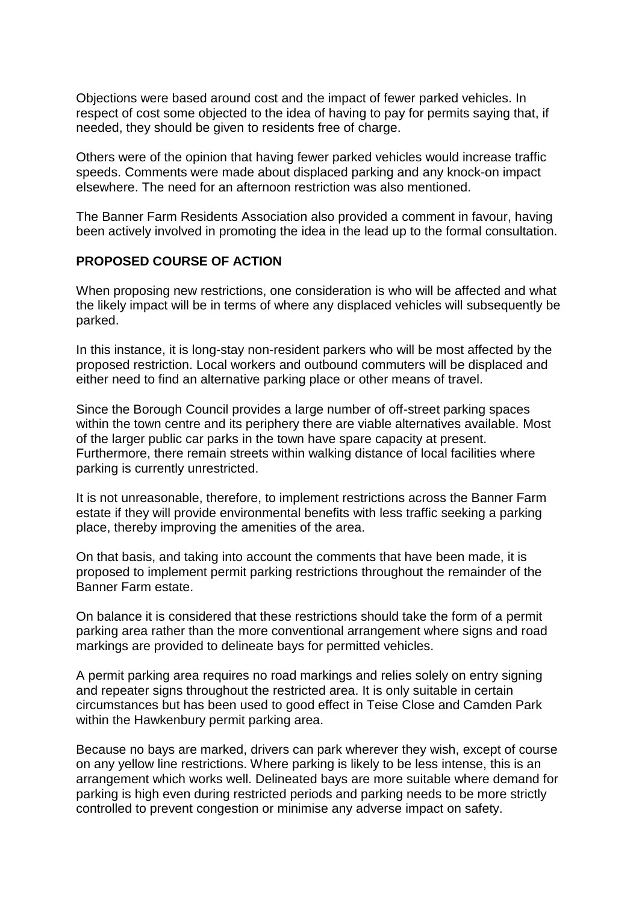Objections were based around cost and the impact of fewer parked vehicles. In respect of cost some objected to the idea of having to pay for permits saying that, if needed, they should be given to residents free of charge.

Others were of the opinion that having fewer parked vehicles would increase traffic speeds. Comments were made about displaced parking and any knock-on impact elsewhere. The need for an afternoon restriction was also mentioned.

The Banner Farm Residents Association also provided a comment in favour, having been actively involved in promoting the idea in the lead up to the formal consultation.

#### **PROPOSED COURSE OF ACTION**

When proposing new restrictions, one consideration is who will be affected and what the likely impact will be in terms of where any displaced vehicles will subsequently be parked.

In this instance, it is long-stay non-resident parkers who will be most affected by the proposed restriction. Local workers and outbound commuters will be displaced and either need to find an alternative parking place or other means of travel.

Since the Borough Council provides a large number of off-street parking spaces within the town centre and its periphery there are viable alternatives available. Most of the larger public car parks in the town have spare capacity at present. Furthermore, there remain streets within walking distance of local facilities where parking is currently unrestricted.

It is not unreasonable, therefore, to implement restrictions across the Banner Farm estate if they will provide environmental benefits with less traffic seeking a parking place, thereby improving the amenities of the area.

On that basis, and taking into account the comments that have been made, it is proposed to implement permit parking restrictions throughout the remainder of the Banner Farm estate.

On balance it is considered that these restrictions should take the form of a permit parking area rather than the more conventional arrangement where signs and road markings are provided to delineate bays for permitted vehicles.

A permit parking area requires no road markings and relies solely on entry signing and repeater signs throughout the restricted area. It is only suitable in certain circumstances but has been used to good effect in Teise Close and Camden Park within the Hawkenbury permit parking area.

Because no bays are marked, drivers can park wherever they wish, except of course on any yellow line restrictions. Where parking is likely to be less intense, this is an arrangement which works well. Delineated bays are more suitable where demand for parking is high even during restricted periods and parking needs to be more strictly controlled to prevent congestion or minimise any adverse impact on safety.